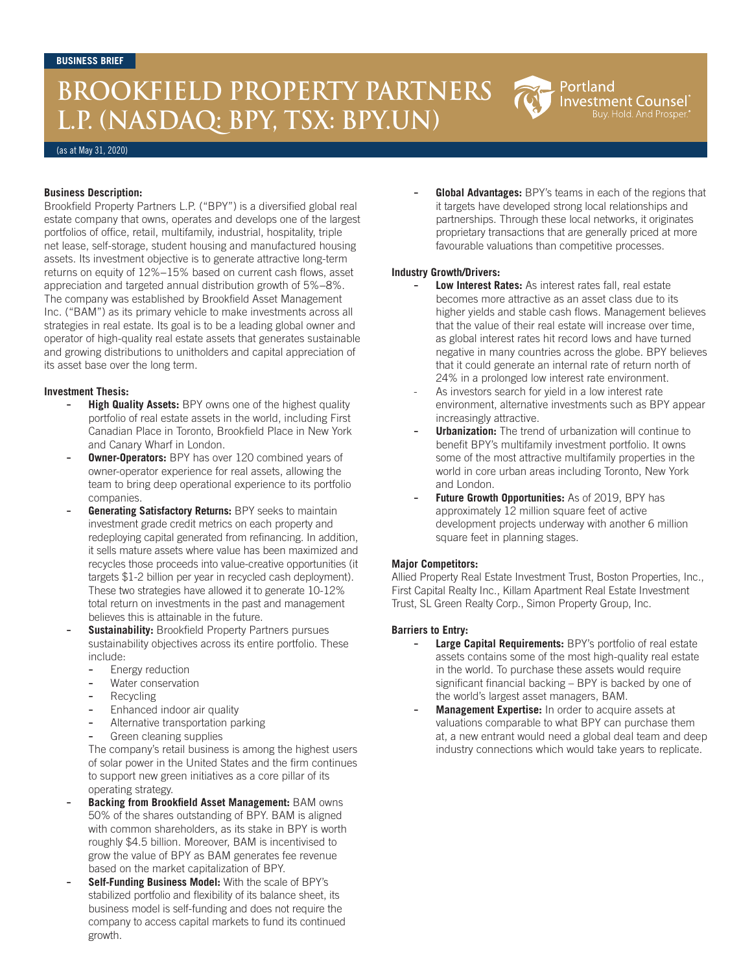# **BROOKFIELD PROPERTY PARTNERS L.P. (NASDAQ: BPY, TSX: BPY.UN)**

(as at May 31, 2020)

## **Business Description:**

Brookfield Property Partners L.P. ("BPY") is a diversified global real estate company that owns, operates and develops one of the largest portfolios of office, retail, multifamily, industrial, hospitality, triple net lease, self-storage, student housing and manufactured housing assets. Its investment objective is to generate attractive long-term returns on equity of 12%−15% based on current cash flows, asset appreciation and targeted annual distribution growth of 5%−8%. The company was established by Brookfield Asset Management Inc. ("BAM") as its primary vehicle to make investments across all strategies in real estate. Its goal is to be a leading global owner and operator of high-quality real estate assets that generates sustainable and growing distributions to unitholders and capital appreciation of its asset base over the long term.

## **Investment Thesis:**

- **High Quality Assets:** BPY owns one of the highest quality portfolio of real estate assets in the world, including First Canadian Place in Toronto, Brookfield Place in New York and Canary Wharf in London.
- **Owner-Operators:** BPY has over 120 combined years of owner-operator experience for real assets, allowing the team to bring deep operational experience to its portfolio companies.
- **Generating Satisfactory Returns: BPY seeks to maintain** investment grade credit metrics on each property and redeploying capital generated from refinancing. In addition, it sells mature assets where value has been maximized and recycles those proceeds into value-creative opportunities (it targets \$1-2 billion per year in recycled cash deployment). These two strategies have allowed it to generate 10-12% total return on investments in the past and management believes this is attainable in the future.
- Sustainability: Brookfield Property Partners pursues sustainability objectives across its entire portfolio. These include:
	- Energy reduction
	- Water conservation
	- **Recycling**
	- Enhanced indoor air quality
	- Alternative transportation parking
	- Green cleaning supplies

 The company's retail business is among the highest users of solar power in the United States and the firm continues to support new green initiatives as a core pillar of its operating strategy.

- **Backing from Brookfield Asset Management:** BAM owns 50% of the shares outstanding of BPY. BAM is aligned with common shareholders, as its stake in BPY is worth roughly \$4.5 billion. Moreover, BAM is incentivised to grow the value of BPY as BAM generates fee revenue based on the market capitalization of BPY.
- **Self-Funding Business Model:** With the scale of BPY's stabilized portfolio and flexibility of its balance sheet, its business model is self-funding and does not require the company to access capital markets to fund its continued growth.

Global Advantages: BPY's teams in each of the regions that it targets have developed strong local relationships and partnerships. Through these local networks, it originates proprietary transactions that are generally priced at more favourable valuations than competitive processes.

Portland

**Investment Counsel** Buy. Hold. And Prosper.

## **Industry Growth/Drivers:**

- **Low Interest Rates:** As interest rates fall, real estate becomes more attractive as an asset class due to its higher yields and stable cash flows. Management believes that the value of their real estate will increase over time, as global interest rates hit record lows and have turned negative in many countries across the globe. BPY believes that it could generate an internal rate of return north of 24% in a prolonged low interest rate environment.
- As investors search for yield in a low interest rate environment, alternative investments such as BPY appear increasingly attractive.
- **Urbanization:** The trend of urbanization will continue to benefit BPY's multifamily investment portfolio. It owns some of the most attractive multifamily properties in the world in core urban areas including Toronto, New York and London.
- **Future Growth Opportunities:** As of 2019, BPY has approximately 12 million square feet of active development projects underway with another 6 million square feet in planning stages.

#### **Major Competitors:**

Allied Property Real Estate Investment Trust, Boston Properties, Inc., First Capital Realty Inc., Killam Apartment Real Estate Investment Trust, SL Green Realty Corp., Simon Property Group, Inc.

## **Barriers to Entry:**

- Large Capital Requirements: BPY's portfolio of real estate assets contains some of the most high-quality real estate in the world. To purchase these assets would require significant financial backing – BPY is backed by one of the world's largest asset managers, BAM.
- Management Expertise: In order to acquire assets at valuations comparable to what BPY can purchase them at, a new entrant would need a global deal team and deep industry connections which would take years to replicate.